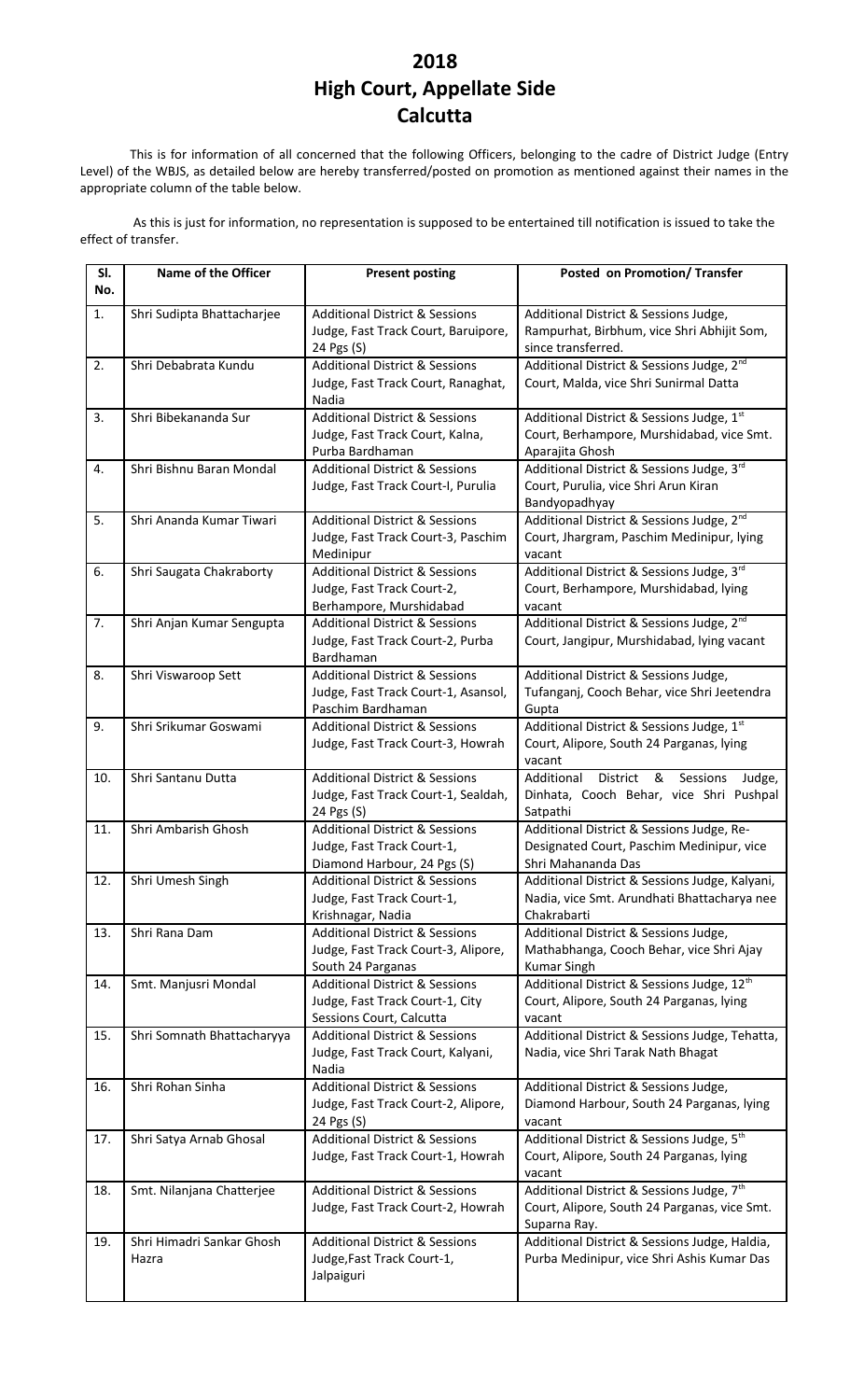## **2018 High Court, Appellate Side Calcutta**

This is for information of all concerned that the following Officers, belonging to the cadre of District Judge (Entry Level) of the WBJS, as detailed below are hereby transferred/posted on promotion as mentioned against their names in the appropriate column of the table below.

As this is just for information, no representation is supposed to be entertained till notification is issued to take the effect of transfer.

| SI.<br>No. | Name of the Officer                | <b>Present posting</b>                                                                                   | Posted on Promotion/ Transfer                                                                                         |
|------------|------------------------------------|----------------------------------------------------------------------------------------------------------|-----------------------------------------------------------------------------------------------------------------------|
| 1.         | Shri Sudipta Bhattacharjee         | <b>Additional District &amp; Sessions</b><br>Judge, Fast Track Court, Baruipore,<br>24 Pgs (S)           | Additional District & Sessions Judge,<br>Rampurhat, Birbhum, vice Shri Abhijit Som,<br>since transferred.             |
| 2.         | Shri Debabrata Kundu               | <b>Additional District &amp; Sessions</b><br>Judge, Fast Track Court, Ranaghat,<br>Nadia                 | Additional District & Sessions Judge, 2 <sup>nd</sup><br>Court, Malda, vice Shri Sunirmal Datta                       |
| 3.         | Shri Bibekananda Sur               | <b>Additional District &amp; Sessions</b><br>Judge, Fast Track Court, Kalna,<br>Purba Bardhaman          | Additional District & Sessions Judge, 1st<br>Court, Berhampore, Murshidabad, vice Smt.<br>Aparajita Ghosh             |
| 4.         | Shri Bishnu Baran Mondal           | <b>Additional District &amp; Sessions</b><br>Judge, Fast Track Court-I, Purulia                          | Additional District & Sessions Judge, 3rd<br>Court, Purulia, vice Shri Arun Kiran<br>Bandyopadhyay                    |
| 5.         | Shri Ananda Kumar Tiwari           | <b>Additional District &amp; Sessions</b><br>Judge, Fast Track Court-3, Paschim<br>Medinipur             | Additional District & Sessions Judge, 2 <sup>nd</sup><br>Court, Jhargram, Paschim Medinipur, lying<br>vacant          |
| 6.         | Shri Saugata Chakraborty           | <b>Additional District &amp; Sessions</b><br>Judge, Fast Track Court-2,<br>Berhampore, Murshidabad       | Additional District & Sessions Judge, 3rd<br>Court, Berhampore, Murshidabad, lying<br>vacant                          |
| 7.         | Shri Anjan Kumar Sengupta          | <b>Additional District &amp; Sessions</b><br>Judge, Fast Track Court-2, Purba<br>Bardhaman               | Additional District & Sessions Judge, 2 <sup>nd</sup><br>Court, Jangipur, Murshidabad, lying vacant                   |
| 8.         | Shri Viswaroop Sett                | <b>Additional District &amp; Sessions</b><br>Judge, Fast Track Court-1, Asansol,<br>Paschim Bardhaman    | Additional District & Sessions Judge,<br>Tufanganj, Cooch Behar, vice Shri Jeetendra<br>Gupta                         |
| 9.         | Shri Srikumar Goswami              | <b>Additional District &amp; Sessions</b><br>Judge, Fast Track Court-3, Howrah                           | Additional District & Sessions Judge, 1st<br>Court, Alipore, South 24 Parganas, lying<br>vacant                       |
| 10.        | Shri Santanu Dutta                 | <b>Additional District &amp; Sessions</b><br>Judge, Fast Track Court-1, Sealdah,<br>24 Pgs (S)           | &<br>Sessions<br>Additional<br>District<br>Judge,<br>Dinhata, Cooch Behar, vice Shri Pushpal<br>Satpathi              |
| 11.        | Shri Ambarish Ghosh                | <b>Additional District &amp; Sessions</b><br>Judge, Fast Track Court-1,<br>Diamond Harbour, 24 Pgs (S)   | Additional District & Sessions Judge, Re-<br>Designated Court, Paschim Medinipur, vice<br>Shri Mahananda Das          |
| 12.        | Shri Umesh Singh                   | <b>Additional District &amp; Sessions</b><br>Judge, Fast Track Court-1,<br>Krishnagar, Nadia             | Additional District & Sessions Judge, Kalyani,<br>Nadia, vice Smt. Arundhati Bhattacharya nee<br>Chakrabarti          |
| 13.        | Shri Rana Dam                      | <b>Additional District &amp; Sessions</b><br>Judge, Fast Track Court-3, Alipore,<br>South 24 Parganas    | Additional District & Sessions Judge,<br>Mathabhanga, Cooch Behar, vice Shri Ajay<br><b>Kumar Singh</b>               |
| 14.        | Smt. Manjusri Mondal               | <b>Additional District &amp; Sessions</b><br>Judge, Fast Track Court-1, City<br>Sessions Court, Calcutta | Additional District & Sessions Judge, 12 <sup>th</sup><br>Court, Alipore, South 24 Parganas, lying<br>vacant          |
| 15.        | Shri Somnath Bhattacharyya         | <b>Additional District &amp; Sessions</b><br>Judge, Fast Track Court, Kalyani,<br>Nadia                  | Additional District & Sessions Judge, Tehatta,<br>Nadia, vice Shri Tarak Nath Bhagat                                  |
| 16.        | Shri Rohan Sinha                   | <b>Additional District &amp; Sessions</b><br>Judge, Fast Track Court-2, Alipore,<br>24 Pgs (S)           | Additional District & Sessions Judge,<br>Diamond Harbour, South 24 Parganas, lying<br>vacant                          |
| 17.        | Shri Satya Arnab Ghosal            | <b>Additional District &amp; Sessions</b><br>Judge, Fast Track Court-1, Howrah                           | Additional District & Sessions Judge, 5th<br>Court, Alipore, South 24 Parganas, lying<br>vacant                       |
| 18.        | Smt. Nilanjana Chatterjee          | <b>Additional District &amp; Sessions</b><br>Judge, Fast Track Court-2, Howrah                           | Additional District & Sessions Judge, 7 <sup>th</sup><br>Court, Alipore, South 24 Parganas, vice Smt.<br>Suparna Ray. |
| 19.        | Shri Himadri Sankar Ghosh<br>Hazra | <b>Additional District &amp; Sessions</b><br>Judge, Fast Track Court-1,<br>Jalpaiguri                    | Additional District & Sessions Judge, Haldia,<br>Purba Medinipur, vice Shri Ashis Kumar Das                           |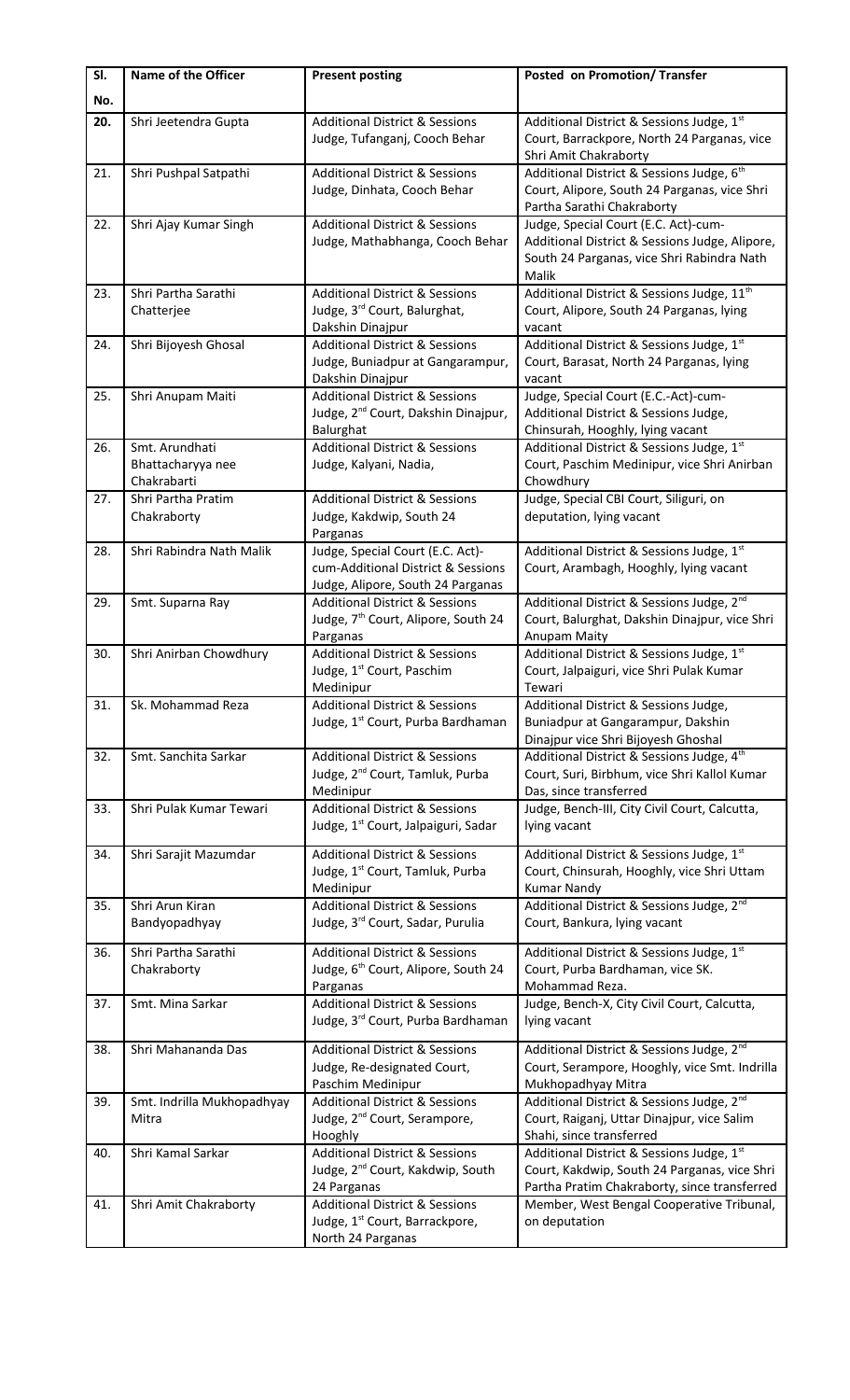| Additional District & Sessions Judge, 1st<br>Shri Jeetendra Gupta<br><b>Additional District &amp; Sessions</b><br>20.<br>Judge, Tufanganj, Cooch Behar<br>Court, Barrackpore, North 24 Parganas, vice<br>Shri Amit Chakraborty<br>Additional District & Sessions Judge, 6 <sup>th</sup><br>21.<br>Shri Pushpal Satpathi<br><b>Additional District &amp; Sessions</b><br>Court, Alipore, South 24 Parganas, vice Shri<br>Judge, Dinhata, Cooch Behar<br>Partha Sarathi Chakraborty<br>22.<br>Shri Ajay Kumar Singh<br><b>Additional District &amp; Sessions</b><br>Judge, Special Court (E.C. Act)-cum-<br>Judge, Mathabhanga, Cooch Behar<br>Additional District & Sessions Judge, Alipore,<br>South 24 Parganas, vice Shri Rabindra Nath<br>Malik<br>Additional District & Sessions Judge, 11 <sup>th</sup><br>23.<br>Shri Partha Sarathi<br><b>Additional District &amp; Sessions</b><br>Judge, 3rd Court, Balurghat,<br>Court, Alipore, South 24 Parganas, lying<br>Chatterjee<br>Dakshin Dinajpur<br>vacant<br>Additional District & Sessions Judge, 1st<br><b>Additional District &amp; Sessions</b><br>Shri Bijoyesh Ghosal<br>24.<br>Court, Barasat, North 24 Parganas, lying<br>Judge, Buniadpur at Gangarampur,<br>Dakshin Dinajpur<br>vacant<br>Judge, Special Court (E.C.-Act)-cum-<br><b>Additional District &amp; Sessions</b><br>25.<br>Shri Anupam Maiti<br>Judge, 2 <sup>nd</sup> Court, Dakshin Dinajpur,<br>Additional District & Sessions Judge,<br>Balurghat<br>Chinsurah, Hooghly, lying vacant<br>Smt. Arundhati<br>Additional District & Sessions Judge, 1st<br><b>Additional District &amp; Sessions</b><br>26.<br>Court, Paschim Medinipur, vice Shri Anirban<br>Bhattacharyya nee<br>Judge, Kalyani, Nadia,<br>Chakrabarti<br>Chowdhury<br>Judge, Special CBI Court, Siliguri, on<br>27.<br>Shri Partha Pratim<br><b>Additional District &amp; Sessions</b><br>Judge, Kakdwip, South 24<br>deputation, lying vacant<br>Chakraborty<br>Parganas<br>Judge, Special Court (E.C. Act)-<br>Additional District & Sessions Judge, 1st<br>Shri Rabindra Nath Malik<br>28.<br>cum-Additional District & Sessions<br>Court, Arambagh, Hooghly, lying vacant<br>Judge, Alipore, South 24 Parganas<br>Additional District & Sessions Judge, 2 <sup>nd</sup><br>29.<br>Smt. Suparna Ray<br><b>Additional District &amp; Sessions</b><br>Judge, 7 <sup>th</sup> Court, Alipore, South 24<br>Court, Balurghat, Dakshin Dinajpur, vice Shri<br>Parganas<br>Anupam Maity<br>Additional District & Sessions Judge, 1st<br>Shri Anirban Chowdhury<br><b>Additional District &amp; Sessions</b><br>30.<br>Judge, 1 <sup>st</sup> Court, Paschim<br>Court, Jalpaiguri, vice Shri Pulak Kumar<br>Medinipur<br>Tewari<br>31.<br>Additional District & Sessions Judge,<br>Sk. Mohammad Reza<br><b>Additional District &amp; Sessions</b><br>Judge, 1 <sup>st</sup> Court, Purba Bardhaman<br>Buniadpur at Gangarampur, Dakshin<br>Dinajpur vice Shri Bijoyesh Ghoshal<br>Additional District & Sessions Judge, 4th<br>Smt. Sanchita Sarkar<br><b>Additional District &amp; Sessions</b><br>32.<br>Judge, 2 <sup>nd</sup> Court, Tamluk, Purba<br>Court, Suri, Birbhum, vice Shri Kallol Kumar<br>Medinipur<br>Das, since transferred<br>Shri Pulak Kumar Tewari<br><b>Additional District &amp; Sessions</b><br>Judge, Bench-III, City Civil Court, Calcutta,<br>33.<br>Judge, 1 <sup>st</sup> Court, Jalpaiguri, Sadar<br>lying vacant<br>Additional District & Sessions Judge, 1st<br><b>Additional District &amp; Sessions</b><br>34.<br>Shri Sarajit Mazumdar<br>Court, Chinsurah, Hooghly, vice Shri Uttam<br>Judge, 1 <sup>st</sup> Court, Tamluk, Purba<br>Medinipur<br><b>Kumar Nandy</b><br>Additional District & Sessions Judge, 2 <sup>nd</sup><br>Shri Arun Kiran<br><b>Additional District &amp; Sessions</b><br>35.<br>Judge, 3rd Court, Sadar, Purulia<br>Bandyopadhyay<br>Court, Bankura, lying vacant<br><b>Additional District &amp; Sessions</b><br>Additional District & Sessions Judge, 1st<br>Shri Partha Sarathi<br>36.<br>Judge, 6 <sup>th</sup> Court, Alipore, South 24<br>Court, Purba Bardhaman, vice SK.<br>Chakraborty<br>Mohammad Reza.<br>Parganas<br><b>Additional District &amp; Sessions</b><br>Judge, Bench-X, City Civil Court, Calcutta,<br>Smt. Mina Sarkar<br>37.<br>Judge, 3rd Court, Purba Bardhaman<br>lying vacant | SI.<br>No. | Name of the Officer | <b>Present posting</b>                    | Posted on Promotion/Transfer                          |
|-------------------------------------------------------------------------------------------------------------------------------------------------------------------------------------------------------------------------------------------------------------------------------------------------------------------------------------------------------------------------------------------------------------------------------------------------------------------------------------------------------------------------------------------------------------------------------------------------------------------------------------------------------------------------------------------------------------------------------------------------------------------------------------------------------------------------------------------------------------------------------------------------------------------------------------------------------------------------------------------------------------------------------------------------------------------------------------------------------------------------------------------------------------------------------------------------------------------------------------------------------------------------------------------------------------------------------------------------------------------------------------------------------------------------------------------------------------------------------------------------------------------------------------------------------------------------------------------------------------------------------------------------------------------------------------------------------------------------------------------------------------------------------------------------------------------------------------------------------------------------------------------------------------------------------------------------------------------------------------------------------------------------------------------------------------------------------------------------------------------------------------------------------------------------------------------------------------------------------------------------------------------------------------------------------------------------------------------------------------------------------------------------------------------------------------------------------------------------------------------------------------------------------------------------------------------------------------------------------------------------------------------------------------------------------------------------------------------------------------------------------------------------------------------------------------------------------------------------------------------------------------------------------------------------------------------------------------------------------------------------------------------------------------------------------------------------------------------------------------------------------------------------------------------------------------------------------------------------------------------------------------------------------------------------------------------------------------------------------------------------------------------------------------------------------------------------------------------------------------------------------------------------------------------------------------------------------------------------------------------------------------------------------------------------------------------------------------------------------------------------------------------------------------------------------------------------------------------------------------------------------------------------------------------------------------------------------------------------------------------------------------------------------------------------------------------------------------------------------------------------------------------------------------------------------------------------------------------------------------------------------------------------------------------------------------------------------------------------------------------|------------|---------------------|-------------------------------------------|-------------------------------------------------------|
|                                                                                                                                                                                                                                                                                                                                                                                                                                                                                                                                                                                                                                                                                                                                                                                                                                                                                                                                                                                                                                                                                                                                                                                                                                                                                                                                                                                                                                                                                                                                                                                                                                                                                                                                                                                                                                                                                                                                                                                                                                                                                                                                                                                                                                                                                                                                                                                                                                                                                                                                                                                                                                                                                                                                                                                                                                                                                                                                                                                                                                                                                                                                                                                                                                                                                                                                                                                                                                                                                                                                                                                                                                                                                                                                                                                                                                                                                                                                                                                                                                                                                                                                                                                                                                                                                                                                                                   |            |                     |                                           |                                                       |
|                                                                                                                                                                                                                                                                                                                                                                                                                                                                                                                                                                                                                                                                                                                                                                                                                                                                                                                                                                                                                                                                                                                                                                                                                                                                                                                                                                                                                                                                                                                                                                                                                                                                                                                                                                                                                                                                                                                                                                                                                                                                                                                                                                                                                                                                                                                                                                                                                                                                                                                                                                                                                                                                                                                                                                                                                                                                                                                                                                                                                                                                                                                                                                                                                                                                                                                                                                                                                                                                                                                                                                                                                                                                                                                                                                                                                                                                                                                                                                                                                                                                                                                                                                                                                                                                                                                                                                   |            |                     |                                           |                                                       |
|                                                                                                                                                                                                                                                                                                                                                                                                                                                                                                                                                                                                                                                                                                                                                                                                                                                                                                                                                                                                                                                                                                                                                                                                                                                                                                                                                                                                                                                                                                                                                                                                                                                                                                                                                                                                                                                                                                                                                                                                                                                                                                                                                                                                                                                                                                                                                                                                                                                                                                                                                                                                                                                                                                                                                                                                                                                                                                                                                                                                                                                                                                                                                                                                                                                                                                                                                                                                                                                                                                                                                                                                                                                                                                                                                                                                                                                                                                                                                                                                                                                                                                                                                                                                                                                                                                                                                                   |            |                     |                                           |                                                       |
|                                                                                                                                                                                                                                                                                                                                                                                                                                                                                                                                                                                                                                                                                                                                                                                                                                                                                                                                                                                                                                                                                                                                                                                                                                                                                                                                                                                                                                                                                                                                                                                                                                                                                                                                                                                                                                                                                                                                                                                                                                                                                                                                                                                                                                                                                                                                                                                                                                                                                                                                                                                                                                                                                                                                                                                                                                                                                                                                                                                                                                                                                                                                                                                                                                                                                                                                                                                                                                                                                                                                                                                                                                                                                                                                                                                                                                                                                                                                                                                                                                                                                                                                                                                                                                                                                                                                                                   |            |                     |                                           |                                                       |
|                                                                                                                                                                                                                                                                                                                                                                                                                                                                                                                                                                                                                                                                                                                                                                                                                                                                                                                                                                                                                                                                                                                                                                                                                                                                                                                                                                                                                                                                                                                                                                                                                                                                                                                                                                                                                                                                                                                                                                                                                                                                                                                                                                                                                                                                                                                                                                                                                                                                                                                                                                                                                                                                                                                                                                                                                                                                                                                                                                                                                                                                                                                                                                                                                                                                                                                                                                                                                                                                                                                                                                                                                                                                                                                                                                                                                                                                                                                                                                                                                                                                                                                                                                                                                                                                                                                                                                   |            |                     |                                           |                                                       |
|                                                                                                                                                                                                                                                                                                                                                                                                                                                                                                                                                                                                                                                                                                                                                                                                                                                                                                                                                                                                                                                                                                                                                                                                                                                                                                                                                                                                                                                                                                                                                                                                                                                                                                                                                                                                                                                                                                                                                                                                                                                                                                                                                                                                                                                                                                                                                                                                                                                                                                                                                                                                                                                                                                                                                                                                                                                                                                                                                                                                                                                                                                                                                                                                                                                                                                                                                                                                                                                                                                                                                                                                                                                                                                                                                                                                                                                                                                                                                                                                                                                                                                                                                                                                                                                                                                                                                                   |            |                     |                                           |                                                       |
|                                                                                                                                                                                                                                                                                                                                                                                                                                                                                                                                                                                                                                                                                                                                                                                                                                                                                                                                                                                                                                                                                                                                                                                                                                                                                                                                                                                                                                                                                                                                                                                                                                                                                                                                                                                                                                                                                                                                                                                                                                                                                                                                                                                                                                                                                                                                                                                                                                                                                                                                                                                                                                                                                                                                                                                                                                                                                                                                                                                                                                                                                                                                                                                                                                                                                                                                                                                                                                                                                                                                                                                                                                                                                                                                                                                                                                                                                                                                                                                                                                                                                                                                                                                                                                                                                                                                                                   |            |                     |                                           |                                                       |
|                                                                                                                                                                                                                                                                                                                                                                                                                                                                                                                                                                                                                                                                                                                                                                                                                                                                                                                                                                                                                                                                                                                                                                                                                                                                                                                                                                                                                                                                                                                                                                                                                                                                                                                                                                                                                                                                                                                                                                                                                                                                                                                                                                                                                                                                                                                                                                                                                                                                                                                                                                                                                                                                                                                                                                                                                                                                                                                                                                                                                                                                                                                                                                                                                                                                                                                                                                                                                                                                                                                                                                                                                                                                                                                                                                                                                                                                                                                                                                                                                                                                                                                                                                                                                                                                                                                                                                   |            |                     |                                           |                                                       |
|                                                                                                                                                                                                                                                                                                                                                                                                                                                                                                                                                                                                                                                                                                                                                                                                                                                                                                                                                                                                                                                                                                                                                                                                                                                                                                                                                                                                                                                                                                                                                                                                                                                                                                                                                                                                                                                                                                                                                                                                                                                                                                                                                                                                                                                                                                                                                                                                                                                                                                                                                                                                                                                                                                                                                                                                                                                                                                                                                                                                                                                                                                                                                                                                                                                                                                                                                                                                                                                                                                                                                                                                                                                                                                                                                                                                                                                                                                                                                                                                                                                                                                                                                                                                                                                                                                                                                                   |            |                     |                                           |                                                       |
|                                                                                                                                                                                                                                                                                                                                                                                                                                                                                                                                                                                                                                                                                                                                                                                                                                                                                                                                                                                                                                                                                                                                                                                                                                                                                                                                                                                                                                                                                                                                                                                                                                                                                                                                                                                                                                                                                                                                                                                                                                                                                                                                                                                                                                                                                                                                                                                                                                                                                                                                                                                                                                                                                                                                                                                                                                                                                                                                                                                                                                                                                                                                                                                                                                                                                                                                                                                                                                                                                                                                                                                                                                                                                                                                                                                                                                                                                                                                                                                                                                                                                                                                                                                                                                                                                                                                                                   |            |                     |                                           |                                                       |
|                                                                                                                                                                                                                                                                                                                                                                                                                                                                                                                                                                                                                                                                                                                                                                                                                                                                                                                                                                                                                                                                                                                                                                                                                                                                                                                                                                                                                                                                                                                                                                                                                                                                                                                                                                                                                                                                                                                                                                                                                                                                                                                                                                                                                                                                                                                                                                                                                                                                                                                                                                                                                                                                                                                                                                                                                                                                                                                                                                                                                                                                                                                                                                                                                                                                                                                                                                                                                                                                                                                                                                                                                                                                                                                                                                                                                                                                                                                                                                                                                                                                                                                                                                                                                                                                                                                                                                   |            |                     |                                           |                                                       |
|                                                                                                                                                                                                                                                                                                                                                                                                                                                                                                                                                                                                                                                                                                                                                                                                                                                                                                                                                                                                                                                                                                                                                                                                                                                                                                                                                                                                                                                                                                                                                                                                                                                                                                                                                                                                                                                                                                                                                                                                                                                                                                                                                                                                                                                                                                                                                                                                                                                                                                                                                                                                                                                                                                                                                                                                                                                                                                                                                                                                                                                                                                                                                                                                                                                                                                                                                                                                                                                                                                                                                                                                                                                                                                                                                                                                                                                                                                                                                                                                                                                                                                                                                                                                                                                                                                                                                                   |            |                     |                                           |                                                       |
|                                                                                                                                                                                                                                                                                                                                                                                                                                                                                                                                                                                                                                                                                                                                                                                                                                                                                                                                                                                                                                                                                                                                                                                                                                                                                                                                                                                                                                                                                                                                                                                                                                                                                                                                                                                                                                                                                                                                                                                                                                                                                                                                                                                                                                                                                                                                                                                                                                                                                                                                                                                                                                                                                                                                                                                                                                                                                                                                                                                                                                                                                                                                                                                                                                                                                                                                                                                                                                                                                                                                                                                                                                                                                                                                                                                                                                                                                                                                                                                                                                                                                                                                                                                                                                                                                                                                                                   |            |                     |                                           |                                                       |
|                                                                                                                                                                                                                                                                                                                                                                                                                                                                                                                                                                                                                                                                                                                                                                                                                                                                                                                                                                                                                                                                                                                                                                                                                                                                                                                                                                                                                                                                                                                                                                                                                                                                                                                                                                                                                                                                                                                                                                                                                                                                                                                                                                                                                                                                                                                                                                                                                                                                                                                                                                                                                                                                                                                                                                                                                                                                                                                                                                                                                                                                                                                                                                                                                                                                                                                                                                                                                                                                                                                                                                                                                                                                                                                                                                                                                                                                                                                                                                                                                                                                                                                                                                                                                                                                                                                                                                   |            |                     |                                           |                                                       |
|                                                                                                                                                                                                                                                                                                                                                                                                                                                                                                                                                                                                                                                                                                                                                                                                                                                                                                                                                                                                                                                                                                                                                                                                                                                                                                                                                                                                                                                                                                                                                                                                                                                                                                                                                                                                                                                                                                                                                                                                                                                                                                                                                                                                                                                                                                                                                                                                                                                                                                                                                                                                                                                                                                                                                                                                                                                                                                                                                                                                                                                                                                                                                                                                                                                                                                                                                                                                                                                                                                                                                                                                                                                                                                                                                                                                                                                                                                                                                                                                                                                                                                                                                                                                                                                                                                                                                                   |            |                     |                                           |                                                       |
|                                                                                                                                                                                                                                                                                                                                                                                                                                                                                                                                                                                                                                                                                                                                                                                                                                                                                                                                                                                                                                                                                                                                                                                                                                                                                                                                                                                                                                                                                                                                                                                                                                                                                                                                                                                                                                                                                                                                                                                                                                                                                                                                                                                                                                                                                                                                                                                                                                                                                                                                                                                                                                                                                                                                                                                                                                                                                                                                                                                                                                                                                                                                                                                                                                                                                                                                                                                                                                                                                                                                                                                                                                                                                                                                                                                                                                                                                                                                                                                                                                                                                                                                                                                                                                                                                                                                                                   |            |                     |                                           |                                                       |
|                                                                                                                                                                                                                                                                                                                                                                                                                                                                                                                                                                                                                                                                                                                                                                                                                                                                                                                                                                                                                                                                                                                                                                                                                                                                                                                                                                                                                                                                                                                                                                                                                                                                                                                                                                                                                                                                                                                                                                                                                                                                                                                                                                                                                                                                                                                                                                                                                                                                                                                                                                                                                                                                                                                                                                                                                                                                                                                                                                                                                                                                                                                                                                                                                                                                                                                                                                                                                                                                                                                                                                                                                                                                                                                                                                                                                                                                                                                                                                                                                                                                                                                                                                                                                                                                                                                                                                   |            |                     |                                           |                                                       |
|                                                                                                                                                                                                                                                                                                                                                                                                                                                                                                                                                                                                                                                                                                                                                                                                                                                                                                                                                                                                                                                                                                                                                                                                                                                                                                                                                                                                                                                                                                                                                                                                                                                                                                                                                                                                                                                                                                                                                                                                                                                                                                                                                                                                                                                                                                                                                                                                                                                                                                                                                                                                                                                                                                                                                                                                                                                                                                                                                                                                                                                                                                                                                                                                                                                                                                                                                                                                                                                                                                                                                                                                                                                                                                                                                                                                                                                                                                                                                                                                                                                                                                                                                                                                                                                                                                                                                                   |            |                     |                                           |                                                       |
|                                                                                                                                                                                                                                                                                                                                                                                                                                                                                                                                                                                                                                                                                                                                                                                                                                                                                                                                                                                                                                                                                                                                                                                                                                                                                                                                                                                                                                                                                                                                                                                                                                                                                                                                                                                                                                                                                                                                                                                                                                                                                                                                                                                                                                                                                                                                                                                                                                                                                                                                                                                                                                                                                                                                                                                                                                                                                                                                                                                                                                                                                                                                                                                                                                                                                                                                                                                                                                                                                                                                                                                                                                                                                                                                                                                                                                                                                                                                                                                                                                                                                                                                                                                                                                                                                                                                                                   |            |                     |                                           |                                                       |
|                                                                                                                                                                                                                                                                                                                                                                                                                                                                                                                                                                                                                                                                                                                                                                                                                                                                                                                                                                                                                                                                                                                                                                                                                                                                                                                                                                                                                                                                                                                                                                                                                                                                                                                                                                                                                                                                                                                                                                                                                                                                                                                                                                                                                                                                                                                                                                                                                                                                                                                                                                                                                                                                                                                                                                                                                                                                                                                                                                                                                                                                                                                                                                                                                                                                                                                                                                                                                                                                                                                                                                                                                                                                                                                                                                                                                                                                                                                                                                                                                                                                                                                                                                                                                                                                                                                                                                   |            |                     |                                           |                                                       |
|                                                                                                                                                                                                                                                                                                                                                                                                                                                                                                                                                                                                                                                                                                                                                                                                                                                                                                                                                                                                                                                                                                                                                                                                                                                                                                                                                                                                                                                                                                                                                                                                                                                                                                                                                                                                                                                                                                                                                                                                                                                                                                                                                                                                                                                                                                                                                                                                                                                                                                                                                                                                                                                                                                                                                                                                                                                                                                                                                                                                                                                                                                                                                                                                                                                                                                                                                                                                                                                                                                                                                                                                                                                                                                                                                                                                                                                                                                                                                                                                                                                                                                                                                                                                                                                                                                                                                                   |            |                     |                                           |                                                       |
|                                                                                                                                                                                                                                                                                                                                                                                                                                                                                                                                                                                                                                                                                                                                                                                                                                                                                                                                                                                                                                                                                                                                                                                                                                                                                                                                                                                                                                                                                                                                                                                                                                                                                                                                                                                                                                                                                                                                                                                                                                                                                                                                                                                                                                                                                                                                                                                                                                                                                                                                                                                                                                                                                                                                                                                                                                                                                                                                                                                                                                                                                                                                                                                                                                                                                                                                                                                                                                                                                                                                                                                                                                                                                                                                                                                                                                                                                                                                                                                                                                                                                                                                                                                                                                                                                                                                                                   |            |                     |                                           |                                                       |
|                                                                                                                                                                                                                                                                                                                                                                                                                                                                                                                                                                                                                                                                                                                                                                                                                                                                                                                                                                                                                                                                                                                                                                                                                                                                                                                                                                                                                                                                                                                                                                                                                                                                                                                                                                                                                                                                                                                                                                                                                                                                                                                                                                                                                                                                                                                                                                                                                                                                                                                                                                                                                                                                                                                                                                                                                                                                                                                                                                                                                                                                                                                                                                                                                                                                                                                                                                                                                                                                                                                                                                                                                                                                                                                                                                                                                                                                                                                                                                                                                                                                                                                                                                                                                                                                                                                                                                   |            |                     |                                           |                                                       |
|                                                                                                                                                                                                                                                                                                                                                                                                                                                                                                                                                                                                                                                                                                                                                                                                                                                                                                                                                                                                                                                                                                                                                                                                                                                                                                                                                                                                                                                                                                                                                                                                                                                                                                                                                                                                                                                                                                                                                                                                                                                                                                                                                                                                                                                                                                                                                                                                                                                                                                                                                                                                                                                                                                                                                                                                                                                                                                                                                                                                                                                                                                                                                                                                                                                                                                                                                                                                                                                                                                                                                                                                                                                                                                                                                                                                                                                                                                                                                                                                                                                                                                                                                                                                                                                                                                                                                                   |            |                     |                                           |                                                       |
|                                                                                                                                                                                                                                                                                                                                                                                                                                                                                                                                                                                                                                                                                                                                                                                                                                                                                                                                                                                                                                                                                                                                                                                                                                                                                                                                                                                                                                                                                                                                                                                                                                                                                                                                                                                                                                                                                                                                                                                                                                                                                                                                                                                                                                                                                                                                                                                                                                                                                                                                                                                                                                                                                                                                                                                                                                                                                                                                                                                                                                                                                                                                                                                                                                                                                                                                                                                                                                                                                                                                                                                                                                                                                                                                                                                                                                                                                                                                                                                                                                                                                                                                                                                                                                                                                                                                                                   |            |                     |                                           |                                                       |
|                                                                                                                                                                                                                                                                                                                                                                                                                                                                                                                                                                                                                                                                                                                                                                                                                                                                                                                                                                                                                                                                                                                                                                                                                                                                                                                                                                                                                                                                                                                                                                                                                                                                                                                                                                                                                                                                                                                                                                                                                                                                                                                                                                                                                                                                                                                                                                                                                                                                                                                                                                                                                                                                                                                                                                                                                                                                                                                                                                                                                                                                                                                                                                                                                                                                                                                                                                                                                                                                                                                                                                                                                                                                                                                                                                                                                                                                                                                                                                                                                                                                                                                                                                                                                                                                                                                                                                   |            |                     |                                           |                                                       |
|                                                                                                                                                                                                                                                                                                                                                                                                                                                                                                                                                                                                                                                                                                                                                                                                                                                                                                                                                                                                                                                                                                                                                                                                                                                                                                                                                                                                                                                                                                                                                                                                                                                                                                                                                                                                                                                                                                                                                                                                                                                                                                                                                                                                                                                                                                                                                                                                                                                                                                                                                                                                                                                                                                                                                                                                                                                                                                                                                                                                                                                                                                                                                                                                                                                                                                                                                                                                                                                                                                                                                                                                                                                                                                                                                                                                                                                                                                                                                                                                                                                                                                                                                                                                                                                                                                                                                                   |            |                     |                                           |                                                       |
|                                                                                                                                                                                                                                                                                                                                                                                                                                                                                                                                                                                                                                                                                                                                                                                                                                                                                                                                                                                                                                                                                                                                                                                                                                                                                                                                                                                                                                                                                                                                                                                                                                                                                                                                                                                                                                                                                                                                                                                                                                                                                                                                                                                                                                                                                                                                                                                                                                                                                                                                                                                                                                                                                                                                                                                                                                                                                                                                                                                                                                                                                                                                                                                                                                                                                                                                                                                                                                                                                                                                                                                                                                                                                                                                                                                                                                                                                                                                                                                                                                                                                                                                                                                                                                                                                                                                                                   |            |                     |                                           |                                                       |
|                                                                                                                                                                                                                                                                                                                                                                                                                                                                                                                                                                                                                                                                                                                                                                                                                                                                                                                                                                                                                                                                                                                                                                                                                                                                                                                                                                                                                                                                                                                                                                                                                                                                                                                                                                                                                                                                                                                                                                                                                                                                                                                                                                                                                                                                                                                                                                                                                                                                                                                                                                                                                                                                                                                                                                                                                                                                                                                                                                                                                                                                                                                                                                                                                                                                                                                                                                                                                                                                                                                                                                                                                                                                                                                                                                                                                                                                                                                                                                                                                                                                                                                                                                                                                                                                                                                                                                   |            |                     |                                           |                                                       |
|                                                                                                                                                                                                                                                                                                                                                                                                                                                                                                                                                                                                                                                                                                                                                                                                                                                                                                                                                                                                                                                                                                                                                                                                                                                                                                                                                                                                                                                                                                                                                                                                                                                                                                                                                                                                                                                                                                                                                                                                                                                                                                                                                                                                                                                                                                                                                                                                                                                                                                                                                                                                                                                                                                                                                                                                                                                                                                                                                                                                                                                                                                                                                                                                                                                                                                                                                                                                                                                                                                                                                                                                                                                                                                                                                                                                                                                                                                                                                                                                                                                                                                                                                                                                                                                                                                                                                                   |            |                     |                                           |                                                       |
|                                                                                                                                                                                                                                                                                                                                                                                                                                                                                                                                                                                                                                                                                                                                                                                                                                                                                                                                                                                                                                                                                                                                                                                                                                                                                                                                                                                                                                                                                                                                                                                                                                                                                                                                                                                                                                                                                                                                                                                                                                                                                                                                                                                                                                                                                                                                                                                                                                                                                                                                                                                                                                                                                                                                                                                                                                                                                                                                                                                                                                                                                                                                                                                                                                                                                                                                                                                                                                                                                                                                                                                                                                                                                                                                                                                                                                                                                                                                                                                                                                                                                                                                                                                                                                                                                                                                                                   |            |                     |                                           |                                                       |
|                                                                                                                                                                                                                                                                                                                                                                                                                                                                                                                                                                                                                                                                                                                                                                                                                                                                                                                                                                                                                                                                                                                                                                                                                                                                                                                                                                                                                                                                                                                                                                                                                                                                                                                                                                                                                                                                                                                                                                                                                                                                                                                                                                                                                                                                                                                                                                                                                                                                                                                                                                                                                                                                                                                                                                                                                                                                                                                                                                                                                                                                                                                                                                                                                                                                                                                                                                                                                                                                                                                                                                                                                                                                                                                                                                                                                                                                                                                                                                                                                                                                                                                                                                                                                                                                                                                                                                   |            |                     |                                           |                                                       |
|                                                                                                                                                                                                                                                                                                                                                                                                                                                                                                                                                                                                                                                                                                                                                                                                                                                                                                                                                                                                                                                                                                                                                                                                                                                                                                                                                                                                                                                                                                                                                                                                                                                                                                                                                                                                                                                                                                                                                                                                                                                                                                                                                                                                                                                                                                                                                                                                                                                                                                                                                                                                                                                                                                                                                                                                                                                                                                                                                                                                                                                                                                                                                                                                                                                                                                                                                                                                                                                                                                                                                                                                                                                                                                                                                                                                                                                                                                                                                                                                                                                                                                                                                                                                                                                                                                                                                                   |            |                     |                                           |                                                       |
|                                                                                                                                                                                                                                                                                                                                                                                                                                                                                                                                                                                                                                                                                                                                                                                                                                                                                                                                                                                                                                                                                                                                                                                                                                                                                                                                                                                                                                                                                                                                                                                                                                                                                                                                                                                                                                                                                                                                                                                                                                                                                                                                                                                                                                                                                                                                                                                                                                                                                                                                                                                                                                                                                                                                                                                                                                                                                                                                                                                                                                                                                                                                                                                                                                                                                                                                                                                                                                                                                                                                                                                                                                                                                                                                                                                                                                                                                                                                                                                                                                                                                                                                                                                                                                                                                                                                                                   |            |                     |                                           |                                                       |
|                                                                                                                                                                                                                                                                                                                                                                                                                                                                                                                                                                                                                                                                                                                                                                                                                                                                                                                                                                                                                                                                                                                                                                                                                                                                                                                                                                                                                                                                                                                                                                                                                                                                                                                                                                                                                                                                                                                                                                                                                                                                                                                                                                                                                                                                                                                                                                                                                                                                                                                                                                                                                                                                                                                                                                                                                                                                                                                                                                                                                                                                                                                                                                                                                                                                                                                                                                                                                                                                                                                                                                                                                                                                                                                                                                                                                                                                                                                                                                                                                                                                                                                                                                                                                                                                                                                                                                   |            |                     |                                           |                                                       |
|                                                                                                                                                                                                                                                                                                                                                                                                                                                                                                                                                                                                                                                                                                                                                                                                                                                                                                                                                                                                                                                                                                                                                                                                                                                                                                                                                                                                                                                                                                                                                                                                                                                                                                                                                                                                                                                                                                                                                                                                                                                                                                                                                                                                                                                                                                                                                                                                                                                                                                                                                                                                                                                                                                                                                                                                                                                                                                                                                                                                                                                                                                                                                                                                                                                                                                                                                                                                                                                                                                                                                                                                                                                                                                                                                                                                                                                                                                                                                                                                                                                                                                                                                                                                                                                                                                                                                                   |            |                     |                                           |                                                       |
|                                                                                                                                                                                                                                                                                                                                                                                                                                                                                                                                                                                                                                                                                                                                                                                                                                                                                                                                                                                                                                                                                                                                                                                                                                                                                                                                                                                                                                                                                                                                                                                                                                                                                                                                                                                                                                                                                                                                                                                                                                                                                                                                                                                                                                                                                                                                                                                                                                                                                                                                                                                                                                                                                                                                                                                                                                                                                                                                                                                                                                                                                                                                                                                                                                                                                                                                                                                                                                                                                                                                                                                                                                                                                                                                                                                                                                                                                                                                                                                                                                                                                                                                                                                                                                                                                                                                                                   |            |                     |                                           |                                                       |
|                                                                                                                                                                                                                                                                                                                                                                                                                                                                                                                                                                                                                                                                                                                                                                                                                                                                                                                                                                                                                                                                                                                                                                                                                                                                                                                                                                                                                                                                                                                                                                                                                                                                                                                                                                                                                                                                                                                                                                                                                                                                                                                                                                                                                                                                                                                                                                                                                                                                                                                                                                                                                                                                                                                                                                                                                                                                                                                                                                                                                                                                                                                                                                                                                                                                                                                                                                                                                                                                                                                                                                                                                                                                                                                                                                                                                                                                                                                                                                                                                                                                                                                                                                                                                                                                                                                                                                   |            |                     |                                           |                                                       |
|                                                                                                                                                                                                                                                                                                                                                                                                                                                                                                                                                                                                                                                                                                                                                                                                                                                                                                                                                                                                                                                                                                                                                                                                                                                                                                                                                                                                                                                                                                                                                                                                                                                                                                                                                                                                                                                                                                                                                                                                                                                                                                                                                                                                                                                                                                                                                                                                                                                                                                                                                                                                                                                                                                                                                                                                                                                                                                                                                                                                                                                                                                                                                                                                                                                                                                                                                                                                                                                                                                                                                                                                                                                                                                                                                                                                                                                                                                                                                                                                                                                                                                                                                                                                                                                                                                                                                                   |            |                     |                                           |                                                       |
|                                                                                                                                                                                                                                                                                                                                                                                                                                                                                                                                                                                                                                                                                                                                                                                                                                                                                                                                                                                                                                                                                                                                                                                                                                                                                                                                                                                                                                                                                                                                                                                                                                                                                                                                                                                                                                                                                                                                                                                                                                                                                                                                                                                                                                                                                                                                                                                                                                                                                                                                                                                                                                                                                                                                                                                                                                                                                                                                                                                                                                                                                                                                                                                                                                                                                                                                                                                                                                                                                                                                                                                                                                                                                                                                                                                                                                                                                                                                                                                                                                                                                                                                                                                                                                                                                                                                                                   |            |                     |                                           |                                                       |
|                                                                                                                                                                                                                                                                                                                                                                                                                                                                                                                                                                                                                                                                                                                                                                                                                                                                                                                                                                                                                                                                                                                                                                                                                                                                                                                                                                                                                                                                                                                                                                                                                                                                                                                                                                                                                                                                                                                                                                                                                                                                                                                                                                                                                                                                                                                                                                                                                                                                                                                                                                                                                                                                                                                                                                                                                                                                                                                                                                                                                                                                                                                                                                                                                                                                                                                                                                                                                                                                                                                                                                                                                                                                                                                                                                                                                                                                                                                                                                                                                                                                                                                                                                                                                                                                                                                                                                   | 38.        | Shri Mahananda Das  | <b>Additional District &amp; Sessions</b> | Additional District & Sessions Judge, 2 <sup>nd</sup> |
| Judge, Re-designated Court,<br>Court, Serampore, Hooghly, vice Smt. Indrilla                                                                                                                                                                                                                                                                                                                                                                                                                                                                                                                                                                                                                                                                                                                                                                                                                                                                                                                                                                                                                                                                                                                                                                                                                                                                                                                                                                                                                                                                                                                                                                                                                                                                                                                                                                                                                                                                                                                                                                                                                                                                                                                                                                                                                                                                                                                                                                                                                                                                                                                                                                                                                                                                                                                                                                                                                                                                                                                                                                                                                                                                                                                                                                                                                                                                                                                                                                                                                                                                                                                                                                                                                                                                                                                                                                                                                                                                                                                                                                                                                                                                                                                                                                                                                                                                                      |            |                     |                                           |                                                       |
| Paschim Medinipur<br>Mukhopadhyay Mitra                                                                                                                                                                                                                                                                                                                                                                                                                                                                                                                                                                                                                                                                                                                                                                                                                                                                                                                                                                                                                                                                                                                                                                                                                                                                                                                                                                                                                                                                                                                                                                                                                                                                                                                                                                                                                                                                                                                                                                                                                                                                                                                                                                                                                                                                                                                                                                                                                                                                                                                                                                                                                                                                                                                                                                                                                                                                                                                                                                                                                                                                                                                                                                                                                                                                                                                                                                                                                                                                                                                                                                                                                                                                                                                                                                                                                                                                                                                                                                                                                                                                                                                                                                                                                                                                                                                           |            |                     |                                           |                                                       |
| Additional District & Sessions Judge, 2 <sup>nd</sup><br><b>Additional District &amp; Sessions</b><br>Smt. Indrilla Mukhopadhyay<br>39.                                                                                                                                                                                                                                                                                                                                                                                                                                                                                                                                                                                                                                                                                                                                                                                                                                                                                                                                                                                                                                                                                                                                                                                                                                                                                                                                                                                                                                                                                                                                                                                                                                                                                                                                                                                                                                                                                                                                                                                                                                                                                                                                                                                                                                                                                                                                                                                                                                                                                                                                                                                                                                                                                                                                                                                                                                                                                                                                                                                                                                                                                                                                                                                                                                                                                                                                                                                                                                                                                                                                                                                                                                                                                                                                                                                                                                                                                                                                                                                                                                                                                                                                                                                                                           |            |                     |                                           |                                                       |
| Judge, 2 <sup>nd</sup> Court, Serampore,<br>Court, Raiganj, Uttar Dinajpur, vice Salim<br>Mitra                                                                                                                                                                                                                                                                                                                                                                                                                                                                                                                                                                                                                                                                                                                                                                                                                                                                                                                                                                                                                                                                                                                                                                                                                                                                                                                                                                                                                                                                                                                                                                                                                                                                                                                                                                                                                                                                                                                                                                                                                                                                                                                                                                                                                                                                                                                                                                                                                                                                                                                                                                                                                                                                                                                                                                                                                                                                                                                                                                                                                                                                                                                                                                                                                                                                                                                                                                                                                                                                                                                                                                                                                                                                                                                                                                                                                                                                                                                                                                                                                                                                                                                                                                                                                                                                   |            |                     |                                           |                                                       |
| Hooghly<br>Shahi, since transferred                                                                                                                                                                                                                                                                                                                                                                                                                                                                                                                                                                                                                                                                                                                                                                                                                                                                                                                                                                                                                                                                                                                                                                                                                                                                                                                                                                                                                                                                                                                                                                                                                                                                                                                                                                                                                                                                                                                                                                                                                                                                                                                                                                                                                                                                                                                                                                                                                                                                                                                                                                                                                                                                                                                                                                                                                                                                                                                                                                                                                                                                                                                                                                                                                                                                                                                                                                                                                                                                                                                                                                                                                                                                                                                                                                                                                                                                                                                                                                                                                                                                                                                                                                                                                                                                                                                               |            |                     |                                           |                                                       |
| Additional District & Sessions Judge, 1st<br>Shri Kamal Sarkar<br><b>Additional District &amp; Sessions</b><br>40.                                                                                                                                                                                                                                                                                                                                                                                                                                                                                                                                                                                                                                                                                                                                                                                                                                                                                                                                                                                                                                                                                                                                                                                                                                                                                                                                                                                                                                                                                                                                                                                                                                                                                                                                                                                                                                                                                                                                                                                                                                                                                                                                                                                                                                                                                                                                                                                                                                                                                                                                                                                                                                                                                                                                                                                                                                                                                                                                                                                                                                                                                                                                                                                                                                                                                                                                                                                                                                                                                                                                                                                                                                                                                                                                                                                                                                                                                                                                                                                                                                                                                                                                                                                                                                                |            |                     |                                           |                                                       |
| Judge, 2 <sup>nd</sup> Court, Kakdwip, South<br>Court, Kakdwip, South 24 Parganas, vice Shri                                                                                                                                                                                                                                                                                                                                                                                                                                                                                                                                                                                                                                                                                                                                                                                                                                                                                                                                                                                                                                                                                                                                                                                                                                                                                                                                                                                                                                                                                                                                                                                                                                                                                                                                                                                                                                                                                                                                                                                                                                                                                                                                                                                                                                                                                                                                                                                                                                                                                                                                                                                                                                                                                                                                                                                                                                                                                                                                                                                                                                                                                                                                                                                                                                                                                                                                                                                                                                                                                                                                                                                                                                                                                                                                                                                                                                                                                                                                                                                                                                                                                                                                                                                                                                                                      |            |                     |                                           |                                                       |
| Partha Pratim Chakraborty, since transferred<br>24 Parganas<br><b>Additional District &amp; Sessions</b><br>Member, West Bengal Cooperative Tribunal,<br>41.<br>Shri Amit Chakraborty                                                                                                                                                                                                                                                                                                                                                                                                                                                                                                                                                                                                                                                                                                                                                                                                                                                                                                                                                                                                                                                                                                                                                                                                                                                                                                                                                                                                                                                                                                                                                                                                                                                                                                                                                                                                                                                                                                                                                                                                                                                                                                                                                                                                                                                                                                                                                                                                                                                                                                                                                                                                                                                                                                                                                                                                                                                                                                                                                                                                                                                                                                                                                                                                                                                                                                                                                                                                                                                                                                                                                                                                                                                                                                                                                                                                                                                                                                                                                                                                                                                                                                                                                                             |            |                     |                                           |                                                       |
| Judge, 1 <sup>st</sup> Court, Barrackpore,<br>on deputation                                                                                                                                                                                                                                                                                                                                                                                                                                                                                                                                                                                                                                                                                                                                                                                                                                                                                                                                                                                                                                                                                                                                                                                                                                                                                                                                                                                                                                                                                                                                                                                                                                                                                                                                                                                                                                                                                                                                                                                                                                                                                                                                                                                                                                                                                                                                                                                                                                                                                                                                                                                                                                                                                                                                                                                                                                                                                                                                                                                                                                                                                                                                                                                                                                                                                                                                                                                                                                                                                                                                                                                                                                                                                                                                                                                                                                                                                                                                                                                                                                                                                                                                                                                                                                                                                                       |            |                     |                                           |                                                       |
| North 24 Parganas                                                                                                                                                                                                                                                                                                                                                                                                                                                                                                                                                                                                                                                                                                                                                                                                                                                                                                                                                                                                                                                                                                                                                                                                                                                                                                                                                                                                                                                                                                                                                                                                                                                                                                                                                                                                                                                                                                                                                                                                                                                                                                                                                                                                                                                                                                                                                                                                                                                                                                                                                                                                                                                                                                                                                                                                                                                                                                                                                                                                                                                                                                                                                                                                                                                                                                                                                                                                                                                                                                                                                                                                                                                                                                                                                                                                                                                                                                                                                                                                                                                                                                                                                                                                                                                                                                                                                 |            |                     |                                           |                                                       |